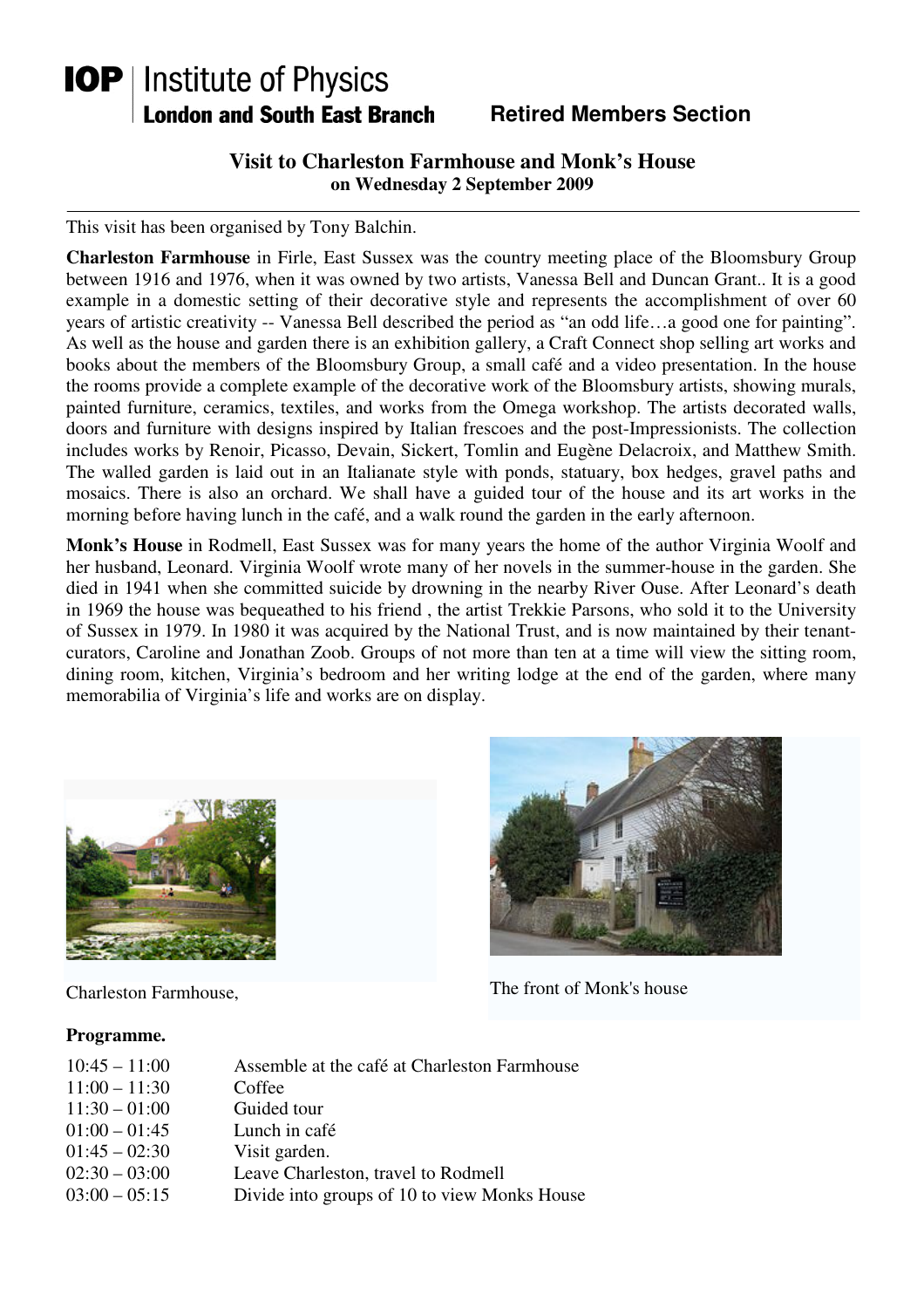# **IOP** | Institute of Physics **London and South East Branch**

## **Retired Members Section**

### **Visit to Charleston Farmhouse and Monk's House on Wednesday 2 September 2009**

This visit has been organised by Tony Balchin.

**Charleston Farmhouse** in Firle, East Sussex was the country meeting place of the Bloomsbury Group between 1916 and 1976, when it was owned by two artists, Vanessa Bell and Duncan Grant.. It is a good example in a domestic setting of their decorative style and represents the accomplishment of over 60 years of artistic creativity -- Vanessa Bell described the period as "an odd life…a good one for painting". As well as the house and garden there is an exhibition gallery, a Craft Connect shop selling art works and books about the members of the Bloomsbury Group, a small café and a video presentation. In the house the rooms provide a complete example of the decorative work of the Bloomsbury artists, showing murals, painted furniture, ceramics, textiles, and works from the Omega workshop. The artists decorated walls, doors and furniture with designs inspired by Italian frescoes and the post-Impressionists. The collection includes works by Renoir, Picasso, Devain, Sickert, Tomlin and Eugène Delacroix, and Matthew Smith. The walled garden is laid out in an Italianate style with ponds, statuary, box hedges, gravel paths and mosaics. There is also an orchard. We shall have a guided tour of the house and its art works in the morning before having lunch in the café, and a walk round the garden in the early afternoon.

**Monk's House** in Rodmell, East Sussex was for many years the home of the author Virginia Woolf and her husband, Leonard. Virginia Woolf wrote many of her novels in the summer-house in the garden. She died in 1941 when she committed suicide by drowning in the nearby River Ouse. After Leonard's death in 1969 the house was bequeathed to his friend , the artist Trekkie Parsons, who sold it to the University of Sussex in 1979. In 1980 it was acquired by the National Trust, and is now maintained by their tenantcurators, Caroline and Jonathan Zoob. Groups of not more than ten at a time will view the sitting room, dining room, kitchen, Virginia's bedroom and her writing lodge at the end of the garden, where many memorabilia of Virginia's life and works are on display.



#### **Programme.**



Charleston Farmhouse, The front of Monk's house

| $10:45 - 11:00$ | Assemble at the café at Charleston Farmhouse |
|-----------------|----------------------------------------------|
| $11:00 - 11:30$ | Coffee                                       |
| $11:30 - 01:00$ | Guided tour                                  |
| $01:00 - 01:45$ | Lunch in café                                |
| $01:45 - 02:30$ | Visit garden.                                |
| $02:30 - 03:00$ | Leave Charleston, travel to Rodmell          |
| $03:00 - 05:15$ | Divide into groups of 10 to view Monks House |
|                 |                                              |